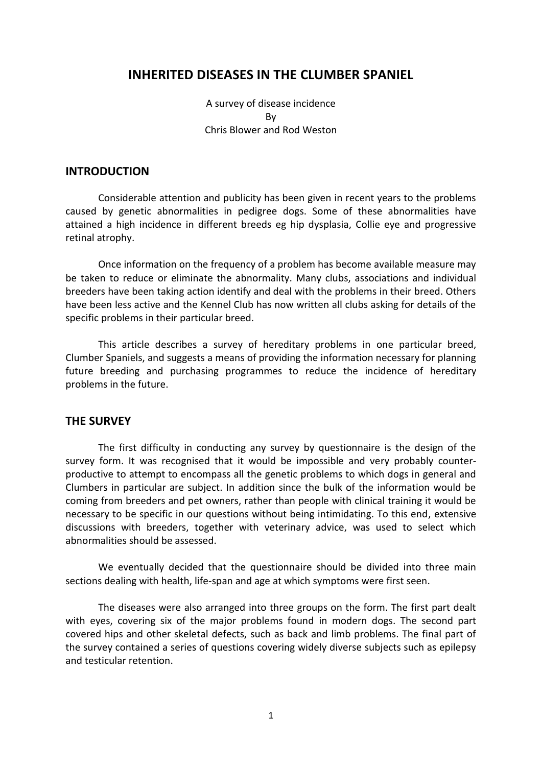# **INHERITED DISEASES IN THE CLUMBER SPANIEL**

A survey of disease incidence By Chris Blower and Rod Weston

## **INTRODUCTION**

Considerable attention and publicity has been given in recent years to the problems caused by genetic abnormalities in pedigree dogs. Some of these abnormalities have attained a high incidence in different breeds eg hip dysplasia, Collie eye and progressive retinal atrophy.

Once information on the frequency of a problem has become available measure may be taken to reduce or eliminate the abnormality. Many clubs, associations and individual breeders have been taking action identify and deal with the problems in their breed. Others have been less active and the Kennel Club has now written all clubs asking for details of the specific problems in their particular breed.

This article describes a survey of hereditary problems in one particular breed, Clumber Spaniels, and suggests a means of providing the information necessary for planning future breeding and purchasing programmes to reduce the incidence of hereditary problems in the future.

#### **THE SURVEY**

The first difficulty in conducting any survey by questionnaire is the design of the survey form. It was recognised that it would be impossible and very probably counterproductive to attempt to encompass all the genetic problems to which dogs in general and Clumbers in particular are subject. In addition since the bulk of the information would be coming from breeders and pet owners, rather than people with clinical training it would be necessary to be specific in our questions without being intimidating. To this end, extensive discussions with breeders, together with veterinary advice, was used to select which abnormalities should be assessed.

We eventually decided that the questionnaire should be divided into three main sections dealing with health, life-span and age at which symptoms were first seen.

The diseases were also arranged into three groups on the form. The first part dealt with eyes, covering six of the major problems found in modern dogs. The second part covered hips and other skeletal defects, such as back and limb problems. The final part of the survey contained a series of questions covering widely diverse subjects such as epilepsy and testicular retention.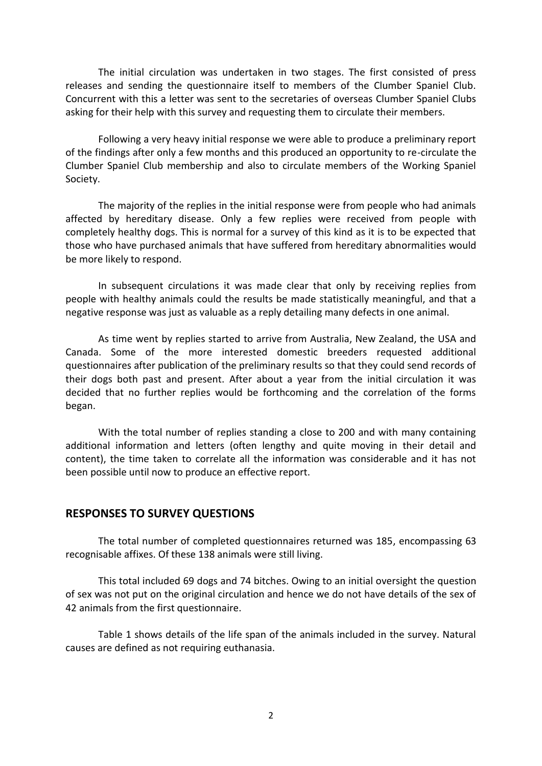The initial circulation was undertaken in two stages. The first consisted of press releases and sending the questionnaire itself to members of the Clumber Spaniel Club. Concurrent with this a letter was sent to the secretaries of overseas Clumber Spaniel Clubs asking for their help with this survey and requesting them to circulate their members.

Following a very heavy initial response we were able to produce a preliminary report of the findings after only a few months and this produced an opportunity to re-circulate the Clumber Spaniel Club membership and also to circulate members of the Working Spaniel Society.

The majority of the replies in the initial response were from people who had animals affected by hereditary disease. Only a few replies were received from people with completely healthy dogs. This is normal for a survey of this kind as it is to be expected that those who have purchased animals that have suffered from hereditary abnormalities would be more likely to respond.

In subsequent circulations it was made clear that only by receiving replies from people with healthy animals could the results be made statistically meaningful, and that a negative response was just as valuable as a reply detailing many defects in one animal.

As time went by replies started to arrive from Australia, New Zealand, the USA and Canada. Some of the more interested domestic breeders requested additional questionnaires after publication of the preliminary results so that they could send records of their dogs both past and present. After about a year from the initial circulation it was decided that no further replies would be forthcoming and the correlation of the forms began.

With the total number of replies standing a close to 200 and with many containing additional information and letters (often lengthy and quite moving in their detail and content), the time taken to correlate all the information was considerable and it has not been possible until now to produce an effective report.

## **RESPONSES TO SURVEY QUESTIONS**

The total number of completed questionnaires returned was 185, encompassing 63 recognisable affixes. Of these 138 animals were still living.

This total included 69 dogs and 74 bitches. Owing to an initial oversight the question of sex was not put on the original circulation and hence we do not have details of the sex of 42 animals from the first questionnaire.

Table 1 shows details of the life span of the animals included in the survey. Natural causes are defined as not requiring euthanasia.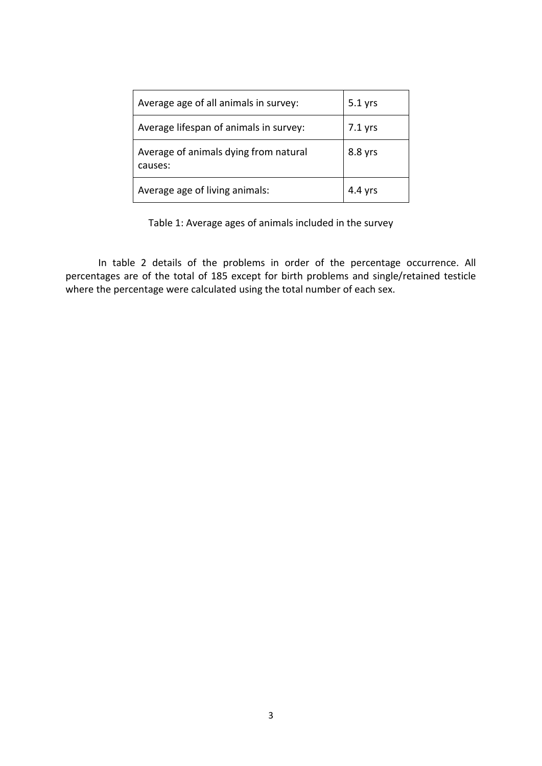| Average age of all animals in survey:            | $5.1$ yrs |
|--------------------------------------------------|-----------|
| Average lifespan of animals in survey:           | $7.1$ yrs |
| Average of animals dying from natural<br>causes: | 8.8 yrs   |
| Average age of living animals:                   | $4.4$ yrs |

Table 1: Average ages of animals included in the survey

In table 2 details of the problems in order of the percentage occurrence. All percentages are of the total of 185 except for birth problems and single/retained testicle where the percentage were calculated using the total number of each sex.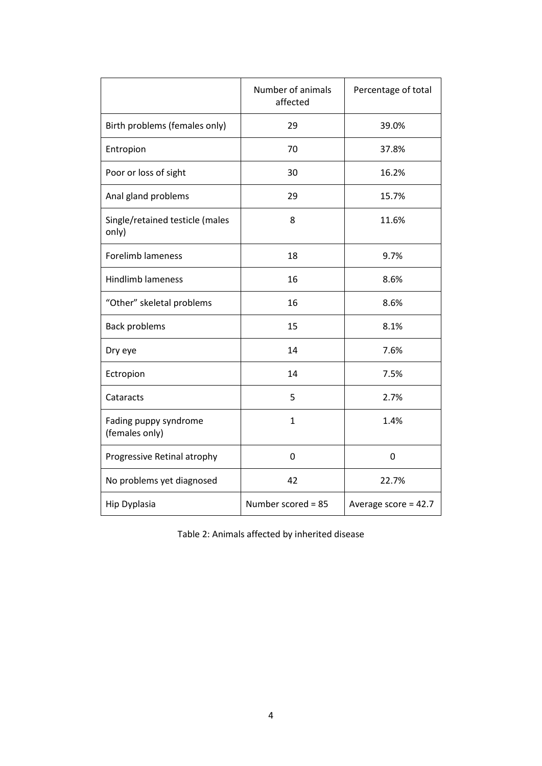|                                          | Number of animals<br>Percentage of total<br>affected |                        |
|------------------------------------------|------------------------------------------------------|------------------------|
| Birth problems (females only)            | 29                                                   | 39.0%                  |
| Entropion                                | 70                                                   | 37.8%                  |
| Poor or loss of sight                    | 30                                                   | 16.2%                  |
| Anal gland problems                      | 29                                                   | 15.7%                  |
| Single/retained testicle (males<br>only) | 8                                                    | 11.6%                  |
| <b>Forelimb lameness</b>                 | 18                                                   | 9.7%                   |
| <b>Hindlimb lameness</b>                 | 16                                                   | 8.6%                   |
| "Other" skeletal problems                | 16                                                   | 8.6%                   |
| <b>Back problems</b>                     | 15                                                   | 8.1%                   |
| Dry eye                                  | 14                                                   | 7.6%                   |
| Ectropion                                | 14                                                   | 7.5%                   |
| Cataracts                                | 5                                                    | 2.7%                   |
| Fading puppy syndrome<br>(females only)  | $\mathbf{1}$                                         | 1.4%                   |
| Progressive Retinal atrophy              | 0                                                    | 0                      |
| No problems yet diagnosed                | 42                                                   | 22.7%                  |
| Hip Dyplasia                             | Number scored = 85                                   | Average score = $42.7$ |

Table 2: Animals affected by inherited disease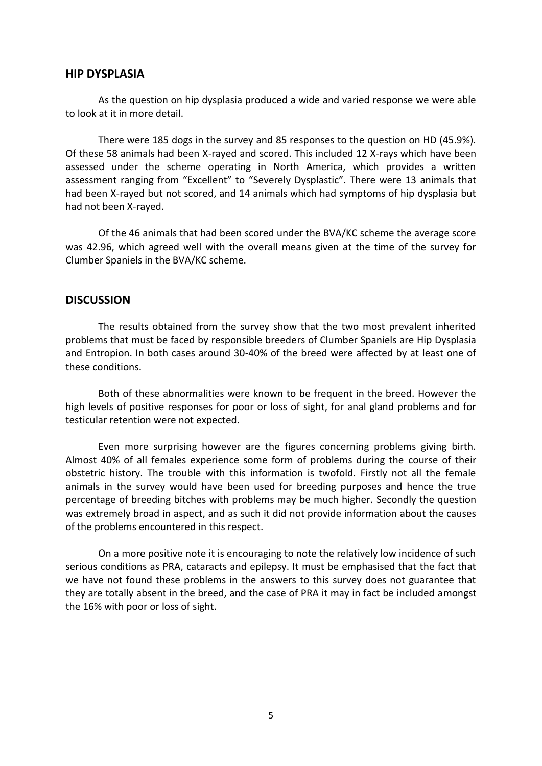#### **HIP DYSPLASIA**

As the question on hip dysplasia produced a wide and varied response we were able to look at it in more detail.

There were 185 dogs in the survey and 85 responses to the question on HD (45.9%). Of these 58 animals had been X-rayed and scored. This included 12 X-rays which have been assessed under the scheme operating in North America, which provides a written assessment ranging from "Excellent" to "Severely Dysplastic". There were 13 animals that had been X-rayed but not scored, and 14 animals which had symptoms of hip dysplasia but had not been X-rayed.

Of the 46 animals that had been scored under the BVA/KC scheme the average score was 42.96, which agreed well with the overall means given at the time of the survey for Clumber Spaniels in the BVA/KC scheme.

#### **DISCUSSION**

The results obtained from the survey show that the two most prevalent inherited problems that must be faced by responsible breeders of Clumber Spaniels are Hip Dysplasia and Entropion. In both cases around 30-40% of the breed were affected by at least one of these conditions.

Both of these abnormalities were known to be frequent in the breed. However the high levels of positive responses for poor or loss of sight, for anal gland problems and for testicular retention were not expected.

Even more surprising however are the figures concerning problems giving birth. Almost 40% of all females experience some form of problems during the course of their obstetric history. The trouble with this information is twofold. Firstly not all the female animals in the survey would have been used for breeding purposes and hence the true percentage of breeding bitches with problems may be much higher. Secondly the question was extremely broad in aspect, and as such it did not provide information about the causes of the problems encountered in this respect.

On a more positive note it is encouraging to note the relatively low incidence of such serious conditions as PRA, cataracts and epilepsy. It must be emphasised that the fact that we have not found these problems in the answers to this survey does not guarantee that they are totally absent in the breed, and the case of PRA it may in fact be included amongst the 16% with poor or loss of sight.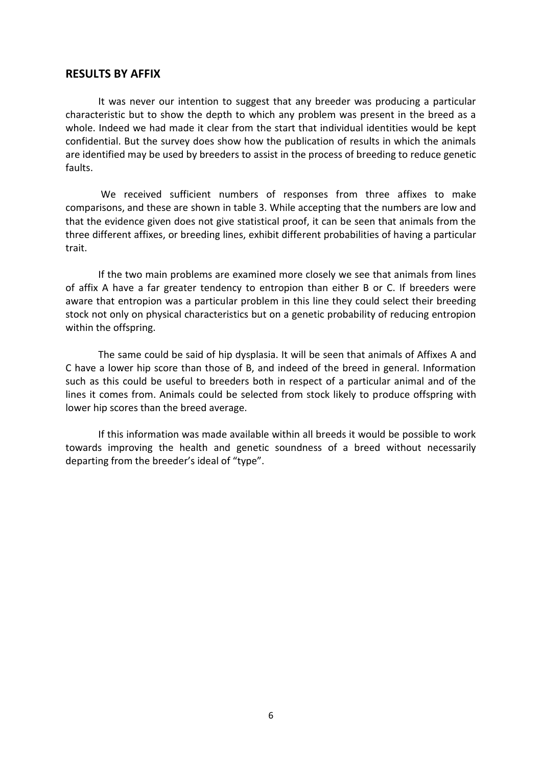### **RESULTS BY AFFIX**

It was never our intention to suggest that any breeder was producing a particular characteristic but to show the depth to which any problem was present in the breed as a whole. Indeed we had made it clear from the start that individual identities would be kept confidential. But the survey does show how the publication of results in which the animals are identified may be used by breeders to assist in the process of breeding to reduce genetic faults.

We received sufficient numbers of responses from three affixes to make comparisons, and these are shown in table 3. While accepting that the numbers are low and that the evidence given does not give statistical proof, it can be seen that animals from the three different affixes, or breeding lines, exhibit different probabilities of having a particular trait.

If the two main problems are examined more closely we see that animals from lines of affix A have a far greater tendency to entropion than either B or C. If breeders were aware that entropion was a particular problem in this line they could select their breeding stock not only on physical characteristics but on a genetic probability of reducing entropion within the offspring.

The same could be said of hip dysplasia. It will be seen that animals of Affixes A and C have a lower hip score than those of B, and indeed of the breed in general. Information such as this could be useful to breeders both in respect of a particular animal and of the lines it comes from. Animals could be selected from stock likely to produce offspring with lower hip scores than the breed average.

If this information was made available within all breeds it would be possible to work towards improving the health and genetic soundness of a breed without necessarily departing from the breeder's ideal of "type".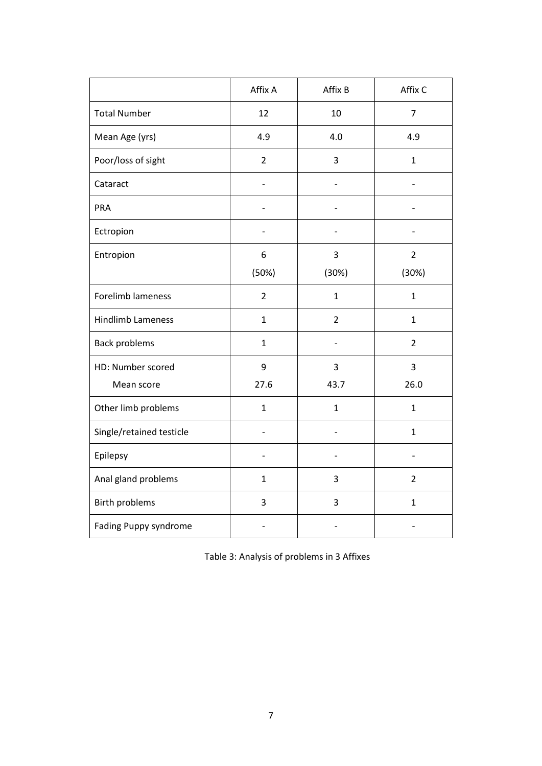|                          | Affix A        | Affix B        | Affix C        |
|--------------------------|----------------|----------------|----------------|
| <b>Total Number</b>      | 12             | 10             | $\overline{7}$ |
| Mean Age (yrs)           | 4.9            | 4.0            | 4.9            |
| Poor/loss of sight       | $\overline{2}$ | 3              | $\mathbf{1}$   |
| Cataract                 |                |                |                |
| PRA                      |                |                |                |
| Ectropion                |                |                |                |
| Entropion                | 6              | 3              | $\overline{2}$ |
|                          | (50%)          | (30%)          | (30%)          |
| Forelimb lameness        | $\overline{2}$ | $\mathbf{1}$   | $\mathbf{1}$   |
| <b>Hindlimb Lameness</b> | $\mathbf{1}$   | $\overline{2}$ | $\mathbf{1}$   |
| <b>Back problems</b>     | $\mathbf{1}$   |                | $\overline{2}$ |
| HD: Number scored        | 9              | 3              | 3              |
| Mean score               | 27.6           | 43.7           | 26.0           |
| Other limb problems      | $\mathbf 1$    | $\mathbf{1}$   | $\mathbf{1}$   |
| Single/retained testicle |                |                | $\mathbf{1}$   |
| Epilepsy                 |                |                |                |
| Anal gland problems      | 1              | 3              | $\overline{2}$ |
| <b>Birth problems</b>    | 3              | 3              | $\mathbf{1}$   |
| Fading Puppy syndrome    |                |                |                |

Table 3: Analysis of problems in 3 Affixes